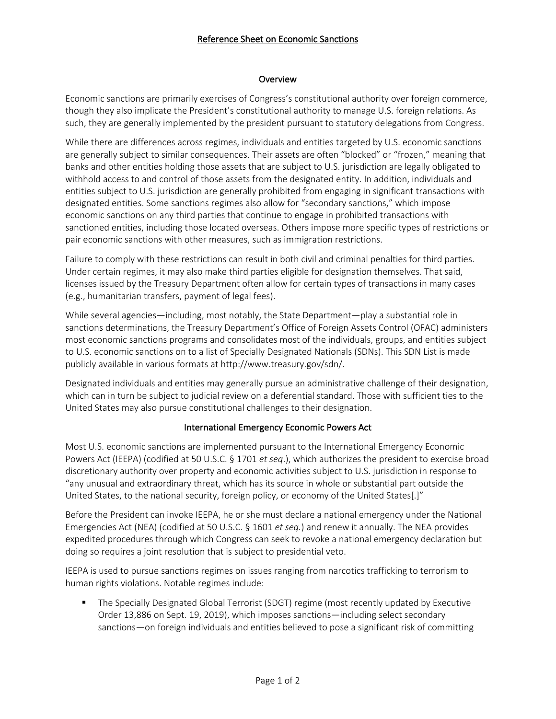### Reference Sheet on Economic Sanctions

#### Overview

Economic sanctions are primarily exercises of Congress's constitutional authority over foreign commerce, though they also implicate the President's constitutional authority to manage U.S. foreign relations. As such, they are generally implemented by the president pursuant to statutory delegations from Congress.

While there are differences across regimes, individuals and entities targeted by U.S. economic sanctions are generally subject to similar consequences. Their assets are often "blocked" or "frozen," meaning that banks and other entities holding those assets that are subject to U.S. jurisdiction are legally obligated to withhold access to and control of those assets from the designated entity. In addition, individuals and entities subject to U.S. jurisdiction are generally prohibited from engaging in significant transactions with designated entities. Some sanctions regimes also allow for "secondary sanctions," which impose economic sanctions on any third parties that continue to engage in prohibited transactions with sanctioned entities, including those located overseas. Others impose more specific types of restrictions or pair economic sanctions with other measures, such as immigration restrictions.

Failure to comply with these restrictions can result in both civil and criminal penalties for third parties. Under certain regimes, it may also make third parties eligible for designation themselves. That said, licenses issued by the Treasury Department often allow for certain types of transactions in many cases (e.g., humanitarian transfers, payment of legal fees).

While several agencies—including, most notably, the State Department—play a substantial role in sanctions determinations, the Treasury Department's Office of Foreign Assets Control (OFAC) administers most economic sanctions programs and consolidates most of the individuals, groups, and entities subject to U.S. economic sanctions on to a list of Specially Designated Nationals (SDNs). This SDN List is made publicly available in various formats at http://www.treasury.gov/sdn/.

Designated individuals and entities may generally pursue an administrative challenge of their designation, which can in turn be subject to judicial review on a deferential standard. Those with sufficient ties to the United States may also pursue constitutional challenges to their designation.

# International Emergency Economic Powers Act

Most U.S. economic sanctions are implemented pursuant to the International Emergency Economic Powers Act (IEEPA) (codified at 50 U.S.C. § 1701 *et seq*.), which authorizes the president to exercise broad discretionary authority over property and economic activities subject to U.S. jurisdiction in response to "any unusual and extraordinary threat, which has its source in whole or substantial part outside the United States, to the national security, foreign policy, or economy of the United States[.]"

Before the President can invoke IEEPA, he or she must declare a national emergency under the National Emergencies Act (NEA) (codified at 50 U.S.C. § 1601 *et seq.*) and renew it annually. The NEA provides expedited procedures through which Congress can seek to revoke a national emergency declaration but doing so requires a joint resolution that is subject to presidential veto.

IEEPA is used to pursue sanctions regimes on issues ranging from narcotics trafficking to terrorism to human rights violations. Notable regimes include:

§ The Specially Designated Global Terrorist (SDGT) regime (most recently updated by Executive Order 13,886 on Sept. 19, 2019), which imposes sanctions—including select secondary sanctions—on foreign individuals and entities believed to pose a significant risk of committing